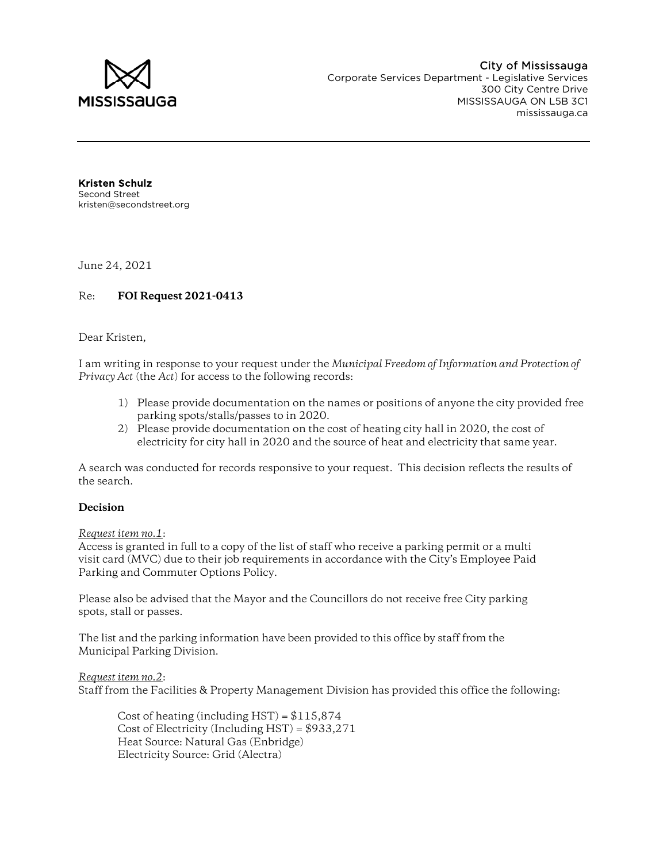

Kristen Schulz Second Street kristen@secondstreet.org

June 24, 2021

## Re: **FOI Request 2021-0413**

#### Dear Kristen,

I am writing in response to your request under the *Municipal Freedom of Information and Protection of Privacy Act* (the *Act*) for access to the following records:

- 1) Please provide documentation on the names or positions of anyone the city provided free parking spots/stalls/passes to in 2020.
- 2) Please provide documentation on the cost of heating city hall in 2020, the cost of electricity for city hall in 2020 and the source of heat and electricity that same year.

A search was conducted for records responsive to your request. This decision reflects the results of the search.

#### **Decision**

#### *Request item no.1*:

Access is granted in full to a copy of the list of staff who receive a parking permit or a multi visit card (MVC) due to their job requirements in accordance with the City's Employee Paid Parking and Commuter Options Policy.

Please also be advised that the Mayor and the Councillors do not receive free City parking spots, stall or passes.

The list and the parking information have been provided to this office by staff from the Municipal Parking Division.

*Request item no.2*: Staff from the Facilities & Property Management Division has provided this office the following:

Cost of heating (including  $HST$ ) =  $$115,874$ Cost of Electricity (Including  $HST$ ) =  $$933,271$ Heat Source: Natural Gas (Enbridge) Electricity Source: Grid (Alectra)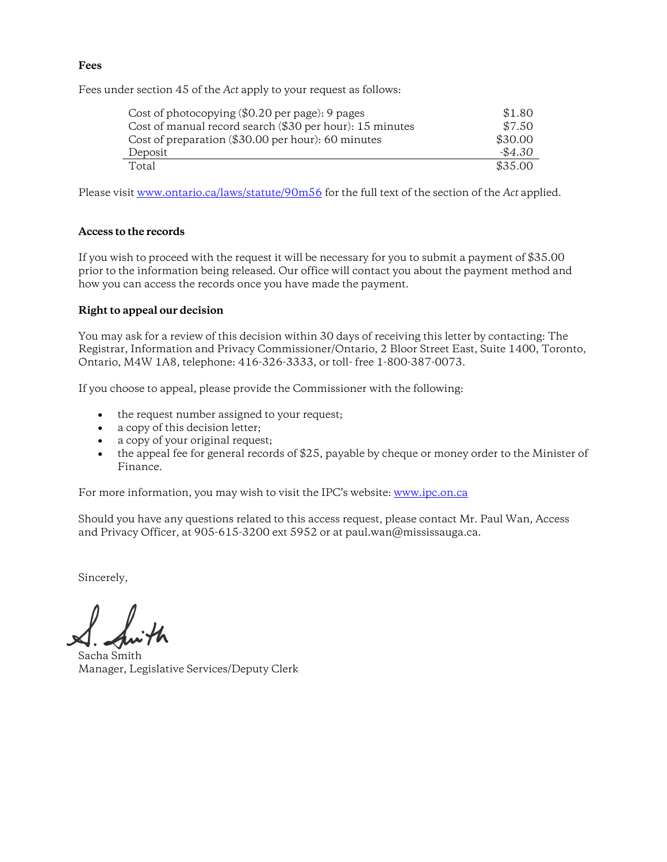### **Fees**

Fees under section 45 of the *Act* apply to your request as follows:

| Cost of photocopying $(\$0.20$ per page): 9 pages        | \$1.80    |
|----------------------------------------------------------|-----------|
| Cost of manual record search (\$30 per hour): 15 minutes | \$7.50    |
| Cost of preparation (\$30.00 per hour): 60 minutes       | \$30.00   |
| Deposit                                                  | $-\$4.30$ |
| Total                                                    | \$35.00   |

Please visit www.ontario.ca/laws/statute/90m56 for the full text of the section of the *Act* applied.

### **Access to the records**

If you wish to proceed with the request it will be necessary for you to submit a payment of \$35.00 prior to the information being released. Our office will contact you about the payment method and how you can access the records once you have made the payment.

### **Right to appeal our decision**

You may ask for a review of this decision within 30 days of receiving this letter by contacting: The Registrar, Information and Privacy Commissioner/Ontario, 2 Bloor Street East, Suite 1400, Toronto, Ontario, M4W 1A8, telephone: 416-326-3333, or toll- free 1-800-387-0073.

If you choose to appeal, please provide the Commissioner with the following:

- the request number assigned to your request;
- a copy of this decision letter;
- a copy of your original request;
- the appeal fee for general records of \$25, payable by cheque or money order to the Minister of Finance.

For more information, you may wish to visit the IPC's website: www.ipc.on.ca

Should you have any questions related to this access request, please contact Mr. Paul Wan, Access and Privacy Officer, at 905-615-3200 ext 5952 or at paul.wan@mississauga.ca.

Sincerely,

Sacha Smith Manager, Legislative Services/Deputy Clerk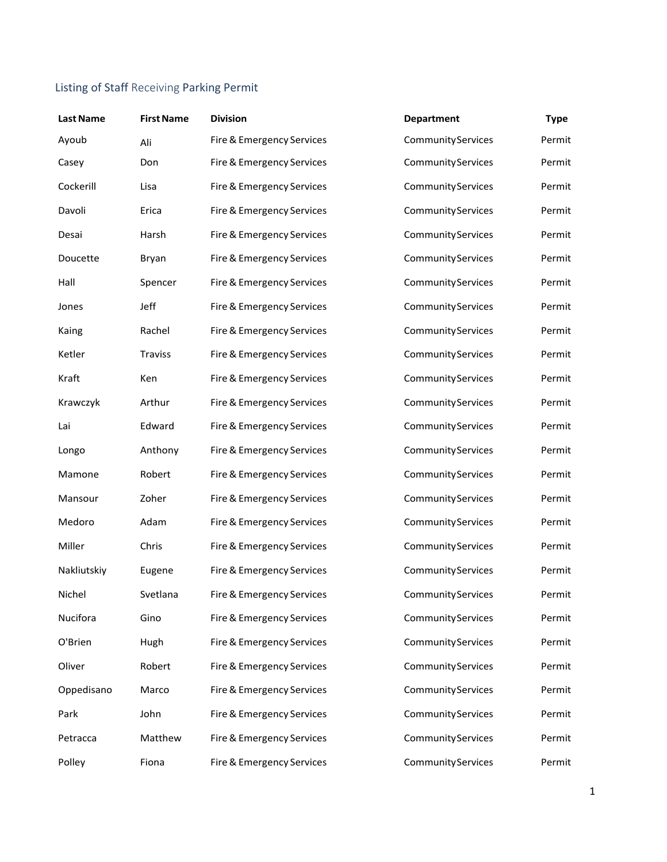# Listing of Staff Receiving Parking Permit

| <b>Last Name</b> | <b>First Name</b> | <b>Division</b>           | <b>Department</b>         | <b>Type</b> |
|------------------|-------------------|---------------------------|---------------------------|-------------|
| Ayoub            | Ali               | Fire & Emergency Services | <b>Community Services</b> | Permit      |
| Casey            | Don               | Fire & Emergency Services | CommunityServices         | Permit      |
| Cockerill        | Lisa              | Fire & Emergency Services | CommunityServices         | Permit      |
| Davoli           | Erica             | Fire & Emergency Services | CommunityServices         | Permit      |
| Desai            | Harsh             | Fire & Emergency Services | CommunityServices         | Permit      |
| Doucette         | Bryan             | Fire & Emergency Services | <b>Community Services</b> | Permit      |
| Hall             | Spencer           | Fire & Emergency Services | CommunityServices         | Permit      |
| Jones            | Jeff              | Fire & Emergency Services | CommunityServices         | Permit      |
| Kaing            | Rachel            | Fire & Emergency Services | <b>Community Services</b> | Permit      |
| Ketler           | <b>Traviss</b>    | Fire & Emergency Services | CommunityServices         | Permit      |
| Kraft            | Ken               | Fire & Emergency Services | CommunityServices         | Permit      |
| Krawczyk         | Arthur            | Fire & Emergency Services | CommunityServices         | Permit      |
| Lai              | Edward            | Fire & Emergency Services | CommunityServices         | Permit      |
| Longo            | Anthony           | Fire & Emergency Services | CommunityServices         | Permit      |
| Mamone           | Robert            | Fire & Emergency Services | CommunityServices         | Permit      |
| Mansour          | Zoher             | Fire & Emergency Services | CommunityServices         | Permit      |
| Medoro           | Adam              | Fire & Emergency Services | CommunityServices         | Permit      |
| Miller           | Chris             | Fire & Emergency Services | CommunityServices         | Permit      |
| Nakliutskiy      | Eugene            | Fire & Emergency Services | CommunityServices         | Permit      |
| Nichel           | Svetlana          | Fire & Emergency Services | <b>CommunityServices</b>  | Permit      |
| Nucifora         | Gino              | Fire & Emergency Services | CommunityServices         | Permit      |
| O'Brien          | Hugh              | Fire & Emergency Services | CommunityServices         | Permit      |
| Oliver           | Robert            | Fire & Emergency Services | CommunityServices         | Permit      |
| Oppedisano       | Marco             | Fire & Emergency Services | CommunityServices         | Permit      |
| Park             | John              | Fire & Emergency Services | CommunityServices         | Permit      |
| Petracca         | Matthew           | Fire & Emergency Services | CommunityServices         | Permit      |
| Polley           | Fiona             | Fire & Emergency Services | CommunityServices         | Permit      |
|                  |                   |                           |                           |             |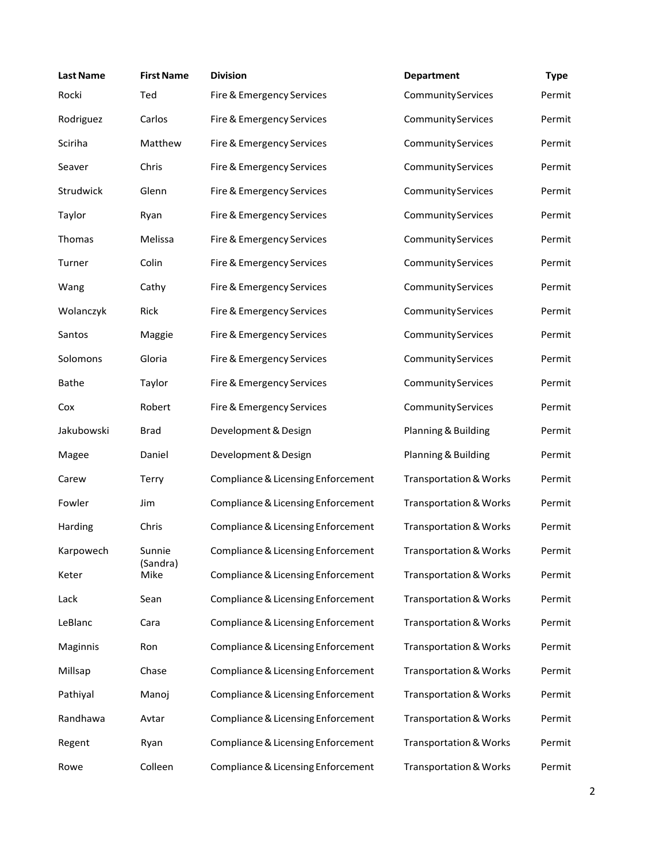| <b>Last Name</b> | <b>First Name</b> | <b>Division</b>                    | <b>Department</b>                 | <b>Type</b> |
|------------------|-------------------|------------------------------------|-----------------------------------|-------------|
| Rocki            | Ted               | Fire & Emergency Services          | CommunityServices                 | Permit      |
| Rodriguez        | Carlos            | Fire & Emergency Services          | CommunityServices                 | Permit      |
| Sciriha          | Matthew           | Fire & Emergency Services          | <b>Community Services</b>         | Permit      |
| Seaver           | Chris             | Fire & Emergency Services          | CommunityServices                 | Permit      |
| Strudwick        | Glenn             | Fire & Emergency Services          | <b>Community Services</b>         | Permit      |
| Taylor           | Ryan              | Fire & Emergency Services          | <b>Community Services</b>         | Permit      |
| Thomas           | Melissa           | Fire & Emergency Services          | CommunityServices                 | Permit      |
| Turner           | Colin             | Fire & Emergency Services          | CommunityServices                 | Permit      |
| Wang             | Cathy             | Fire & Emergency Services          | CommunityServices                 | Permit      |
| Wolanczyk        | Rick              | Fire & Emergency Services          | CommunityServices                 | Permit      |
| Santos           | Maggie            | Fire & Emergency Services          | <b>Community Services</b>         | Permit      |
| Solomons         | Gloria            | Fire & Emergency Services          | CommunityServices                 | Permit      |
| <b>Bathe</b>     | Taylor            | Fire & Emergency Services          | <b>Community Services</b>         | Permit      |
| Cox              | Robert            | Fire & Emergency Services          | CommunityServices                 | Permit      |
| Jakubowski       | <b>Brad</b>       | Development & Design               | Planning & Building               | Permit      |
| Magee            | Daniel            | Development & Design               | Planning & Building               | Permit      |
| Carew            | <b>Terry</b>      | Compliance & Licensing Enforcement | <b>Transportation &amp; Works</b> | Permit      |
| Fowler           | Jim               | Compliance & Licensing Enforcement | <b>Transportation &amp; Works</b> | Permit      |
| Harding          | Chris             | Compliance & Licensing Enforcement | <b>Transportation &amp; Works</b> | Permit      |
| Karpowech        | Sunnie            | Compliance & Licensing Enforcement | <b>Transportation &amp; Works</b> | Permit      |
| Keter            | (Sandra)<br>Mike  | Compliance & Licensing Enforcement | <b>Transportation &amp; Works</b> | Permit      |
| Lack             | Sean              | Compliance & Licensing Enforcement | <b>Transportation &amp; Works</b> | Permit      |
| LeBlanc          | Cara              | Compliance & Licensing Enforcement | <b>Transportation &amp; Works</b> | Permit      |
| Maginnis         | Ron               | Compliance & Licensing Enforcement | <b>Transportation &amp; Works</b> | Permit      |
| Millsap          | Chase             | Compliance & Licensing Enforcement | <b>Transportation &amp; Works</b> | Permit      |
| Pathiyal         | Manoj             | Compliance & Licensing Enforcement | <b>Transportation &amp; Works</b> | Permit      |
| Randhawa         | Avtar             | Compliance & Licensing Enforcement | <b>Transportation &amp; Works</b> | Permit      |
| Regent           | Ryan              | Compliance & Licensing Enforcement | <b>Transportation &amp; Works</b> | Permit      |
| Rowe             | Colleen           | Compliance & Licensing Enforcement | <b>Transportation &amp; Works</b> | Permit      |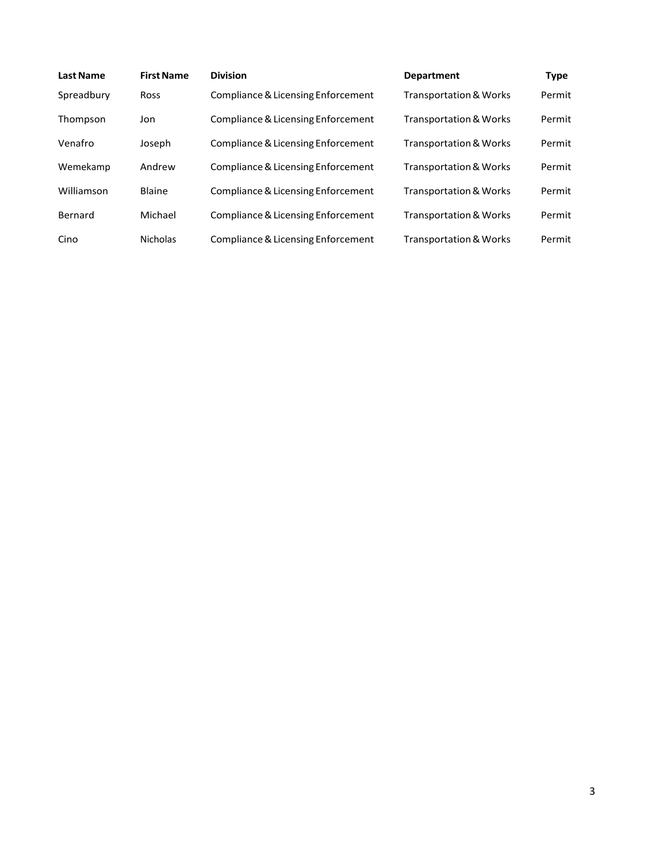| <b>Last Name</b> | <b>First Name</b> | <b>Division</b>                    | <b>Department</b>                 | Type   |
|------------------|-------------------|------------------------------------|-----------------------------------|--------|
| Spreadbury       | <b>Ross</b>       | Compliance & Licensing Enforcement | <b>Transportation &amp; Works</b> | Permit |
| Thompson         | Jon               | Compliance & Licensing Enforcement | <b>Transportation &amp; Works</b> | Permit |
| Venafro          | Joseph            | Compliance & Licensing Enforcement | <b>Transportation &amp; Works</b> | Permit |
| Wemekamp         | Andrew            | Compliance & Licensing Enforcement | <b>Transportation &amp; Works</b> | Permit |
| Williamson       | Blaine            | Compliance & Licensing Enforcement | <b>Transportation &amp; Works</b> | Permit |
| Bernard          | Michael           | Compliance & Licensing Enforcement | <b>Transportation &amp; Works</b> | Permit |
| Cino             | <b>Nicholas</b>   | Compliance & Licensing Enforcement | <b>Transportation &amp; Works</b> | Permit |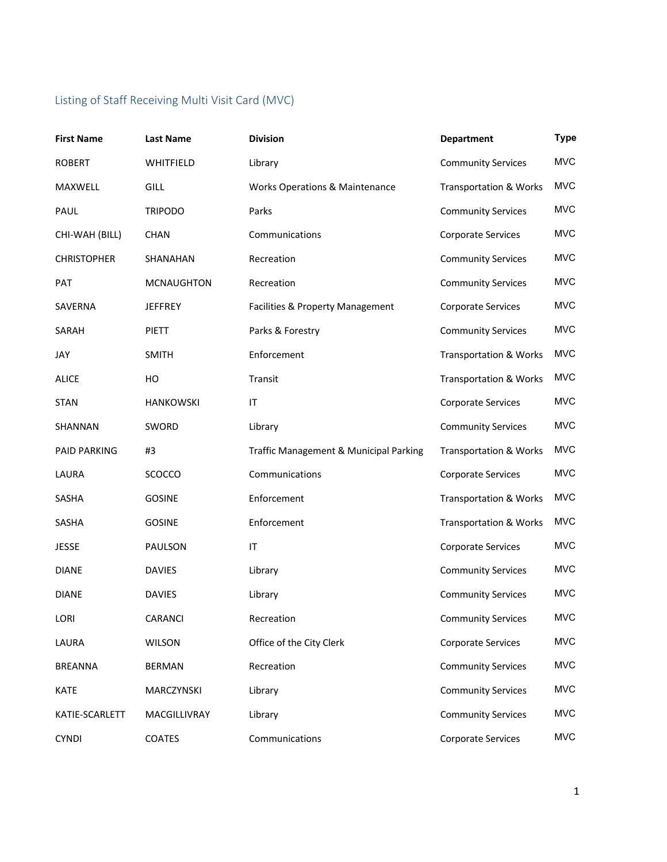# Listing of Staff Receiving Multi Visit Card (MVC)

| <b>First Name</b>   | <b>Last Name</b>  | <b>Division</b>                           | <b>Department</b>                 | <b>Type</b> |
|---------------------|-------------------|-------------------------------------------|-----------------------------------|-------------|
| <b>ROBERT</b>       | WHITFIELD         | Library                                   | <b>Community Services</b>         | <b>MVC</b>  |
| MAXWELL             | <b>GILL</b>       | <b>Works Operations &amp; Maintenance</b> | <b>Transportation &amp; Works</b> | <b>MVC</b>  |
| PAUL                | <b>TRIPODO</b>    | Parks                                     | <b>Community Services</b>         | <b>MVC</b>  |
| CHI-WAH (BILL)      | <b>CHAN</b>       | Communications                            | <b>Corporate Services</b>         | <b>MVC</b>  |
| <b>CHRISTOPHER</b>  | SHANAHAN          | Recreation                                | <b>Community Services</b>         | <b>MVC</b>  |
| <b>PAT</b>          | <b>MCNAUGHTON</b> | Recreation                                | <b>Community Services</b>         | <b>MVC</b>  |
| SAVERNA             | <b>JEFFREY</b>    | Facilities & Property Management          | Corporate Services                | <b>MVC</b>  |
| SARAH               | <b>PIETT</b>      | Parks & Forestry                          | <b>Community Services</b>         | <b>MVC</b>  |
| JAY                 | <b>SMITH</b>      | Enforcement                               | <b>Transportation &amp; Works</b> | <b>MVC</b>  |
| <b>ALICE</b>        | HO                | Transit                                   | <b>Transportation &amp; Works</b> | <b>MVC</b>  |
| <b>STAN</b>         | <b>HANKOWSKI</b>  | IT                                        | <b>Corporate Services</b>         | <b>MVC</b>  |
| SHANNAN             | SWORD             | Library                                   | <b>Community Services</b>         | <b>MVC</b>  |
| <b>PAID PARKING</b> | #3                | Traffic Management & Municipal Parking    | <b>Transportation &amp; Works</b> | <b>MVC</b>  |
| LAURA               | SCOCCO            | Communications                            | <b>Corporate Services</b>         | <b>MVC</b>  |
| SASHA               | <b>GOSINE</b>     | Enforcement                               | <b>Transportation &amp; Works</b> | <b>MVC</b>  |
| <b>SASHA</b>        | <b>GOSINE</b>     | Enforcement                               | <b>Transportation &amp; Works</b> | <b>MVC</b>  |
| <b>JESSE</b>        | PAULSON           | $\mathsf{I}\mathsf{T}$                    | <b>Corporate Services</b>         | <b>MVC</b>  |
| <b>DIANE</b>        | <b>DAVIES</b>     | Library                                   | <b>Community Services</b>         | <b>MVC</b>  |
| <b>DIANE</b>        | <b>DAVIES</b>     | Library                                   | <b>Community Services</b>         | <b>MVC</b>  |
| LORI                | CARANCI           | Recreation                                | <b>Community Services</b>         | <b>MVC</b>  |
| LAURA               | WILSON            | Office of the City Clerk                  | Corporate Services                | MVC         |
| <b>BREANNA</b>      | <b>BERMAN</b>     | Recreation                                | <b>Community Services</b>         | <b>MVC</b>  |
| <b>KATE</b>         | MARCZYNSKI        | Library                                   | <b>Community Services</b>         | <b>MVC</b>  |
| KATIE-SCARLETT      | MACGILLIVRAY      | Library                                   | <b>Community Services</b>         | <b>MVC</b>  |
| <b>CYNDI</b>        | <b>COATES</b>     | Communications                            | Corporate Services                | <b>MVC</b>  |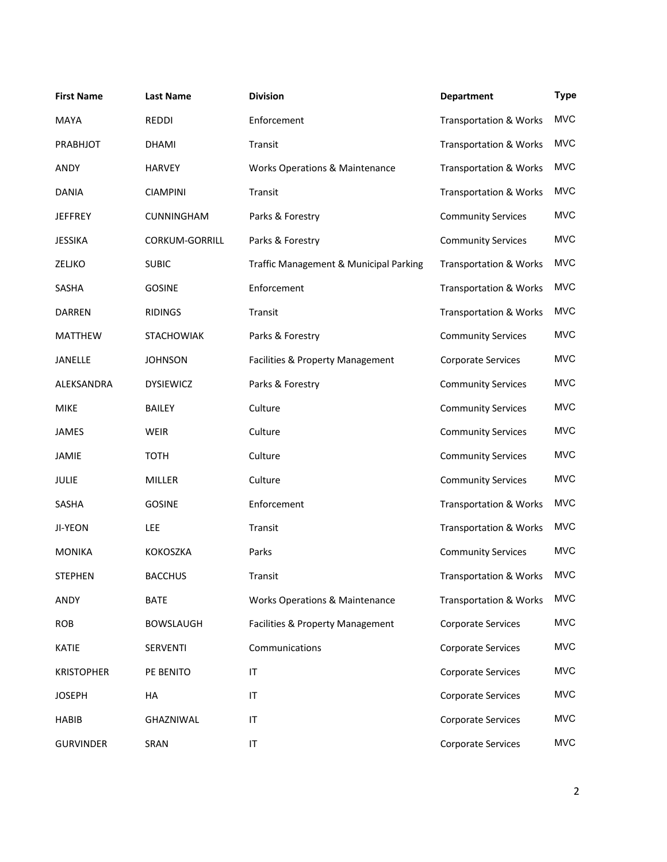| <b>First Name</b> | <b>Last Name</b>  | <b>Division</b>                           | <b>Department</b>                 | <b>Type</b> |
|-------------------|-------------------|-------------------------------------------|-----------------------------------|-------------|
| <b>MAYA</b>       | REDDI             | Enforcement                               | <b>Transportation &amp; Works</b> | <b>MVC</b>  |
| PRABHJOT          | <b>DHAMI</b>      | Transit                                   | <b>Transportation &amp; Works</b> | <b>MVC</b>  |
| ANDY              | <b>HARVEY</b>     | <b>Works Operations &amp; Maintenance</b> | <b>Transportation &amp; Works</b> | <b>MVC</b>  |
| <b>DANIA</b>      | <b>CIAMPINI</b>   | Transit                                   | <b>Transportation &amp; Works</b> | <b>MVC</b>  |
| <b>JEFFREY</b>    | CUNNINGHAM        | Parks & Forestry                          | <b>Community Services</b>         | <b>MVC</b>  |
| <b>JESSIKA</b>    | CORKUM-GORRILL    | Parks & Forestry                          | <b>Community Services</b>         | <b>MVC</b>  |
| ZELJKO            | <b>SUBIC</b>      | Traffic Management & Municipal Parking    | <b>Transportation &amp; Works</b> | <b>MVC</b>  |
| SASHA             | <b>GOSINE</b>     | Enforcement                               | <b>Transportation &amp; Works</b> | <b>MVC</b>  |
| <b>DARREN</b>     | <b>RIDINGS</b>    | Transit                                   | <b>Transportation &amp; Works</b> | <b>MVC</b>  |
| <b>MATTHEW</b>    | <b>STACHOWIAK</b> | Parks & Forestry                          | <b>Community Services</b>         | <b>MVC</b>  |
| JANELLE           | <b>JOHNSON</b>    | Facilities & Property Management          | Corporate Services                | <b>MVC</b>  |
| ALEKSANDRA        | <b>DYSIEWICZ</b>  | Parks & Forestry                          | <b>Community Services</b>         | <b>MVC</b>  |
| <b>MIKE</b>       | <b>BAILEY</b>     | Culture                                   | <b>Community Services</b>         | <b>MVC</b>  |
| <b>JAMES</b>      | <b>WEIR</b>       | Culture                                   | <b>Community Services</b>         | <b>MVC</b>  |
| <b>JAMIE</b>      | <b>TOTH</b>       | Culture                                   | <b>Community Services</b>         | <b>MVC</b>  |
| JULIE             | <b>MILLER</b>     | Culture                                   | <b>Community Services</b>         | <b>MVC</b>  |
| SASHA             | <b>GOSINE</b>     | Enforcement                               | <b>Transportation &amp; Works</b> | <b>MVC</b>  |
| JI-YEON           | <b>LEE</b>        | Transit                                   | <b>Transportation &amp; Works</b> | <b>MVC</b>  |
| <b>MONIKA</b>     | <b>KOKOSZKA</b>   | Parks                                     | <b>Community Services</b>         | <b>MVC</b>  |
| <b>STEPHEN</b>    | <b>BACCHUS</b>    | Transit                                   | Transportation & Works            | <b>MVC</b>  |
| ANDY              | <b>BATE</b>       | <b>Works Operations &amp; Maintenance</b> | <b>Transportation &amp; Works</b> | <b>MVC</b>  |
| <b>ROB</b>        | <b>BOWSLAUGH</b>  | Facilities & Property Management          | Corporate Services                | <b>MVC</b>  |
| KATIE             | <b>SERVENTI</b>   | Communications                            | Corporate Services                | <b>MVC</b>  |
| <b>KRISTOPHER</b> | PE BENITO         | $\mathsf{I}\mathsf{T}$                    | <b>Corporate Services</b>         | <b>MVC</b>  |
| <b>JOSEPH</b>     | HA                | $\mathsf{I}\mathsf{T}$                    | <b>Corporate Services</b>         | <b>MVC</b>  |
| <b>HABIB</b>      | GHAZNIWAL         | $\sf IT$                                  | Corporate Services                | <b>MVC</b>  |
| <b>GURVINDER</b>  | SRAN              | $\mathsf{I}\mathsf{T}$                    | Corporate Services                | <b>MVC</b>  |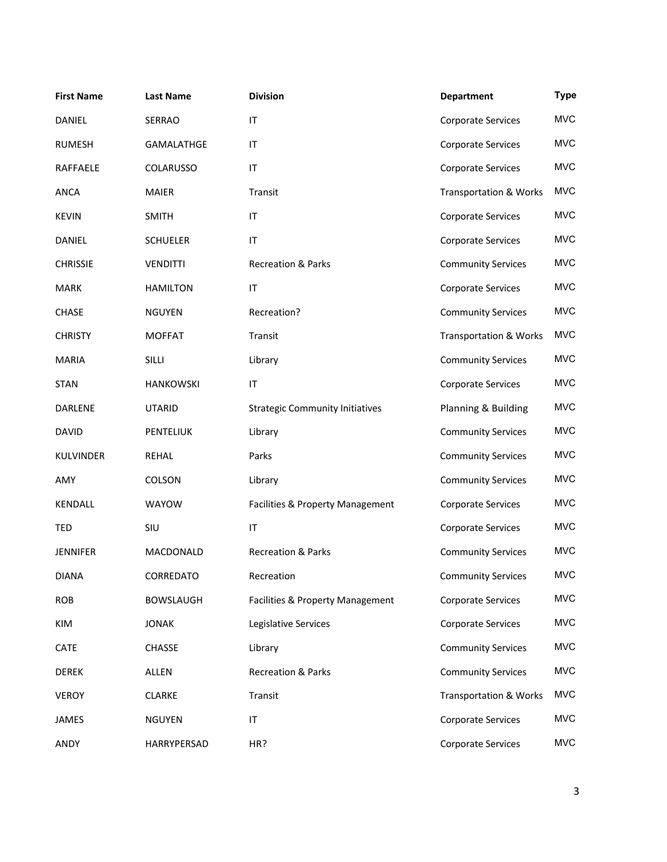| <b>First Name</b> | <b>Last Name</b> | <b>Division</b>                        | <b>Department</b>                 | <b>Type</b> |
|-------------------|------------------|----------------------------------------|-----------------------------------|-------------|
| <b>DANIEL</b>     | <b>SERRAO</b>    | $\mathsf{I}\mathsf{T}$                 | Corporate Services                | <b>MVC</b>  |
| <b>RUMESH</b>     | GAMALATHGE       | $\mathsf{I}\mathsf{T}$                 | Corporate Services                | <b>MVC</b>  |
| <b>RAFFAELE</b>   | <b>COLARUSSO</b> | $\mathsf{I}\mathsf{T}$                 | <b>Corporate Services</b>         | <b>MVC</b>  |
| <b>ANCA</b>       | <b>MAIER</b>     | Transit                                | <b>Transportation &amp; Works</b> | <b>MVC</b>  |
| <b>KEVIN</b>      | <b>SMITH</b>     | $\mathsf{I}\mathsf{T}$                 | Corporate Services                | <b>MVC</b>  |
| DANIEL            | <b>SCHUELER</b>  | $\mathsf{I}\mathsf{T}$                 | <b>Corporate Services</b>         | <b>MVC</b>  |
| <b>CHRISSIE</b>   | <b>VENDITTI</b>  | <b>Recreation &amp; Parks</b>          | <b>Community Services</b>         | <b>MVC</b>  |
| <b>MARK</b>       | <b>HAMILTON</b>  | IT                                     | Corporate Services                | <b>MVC</b>  |
| <b>CHASE</b>      | <b>NGUYEN</b>    | Recreation?                            | <b>Community Services</b>         | <b>MVC</b>  |
| <b>CHRISTY</b>    | <b>MOFFAT</b>    | Transit                                | <b>Transportation &amp; Works</b> | <b>MVC</b>  |
| <b>MARIA</b>      | <b>SILLI</b>     | Library                                | <b>Community Services</b>         | <b>MVC</b>  |
| <b>STAN</b>       | <b>HANKOWSKI</b> | $\mathsf{I}\mathsf{T}$                 | <b>Corporate Services</b>         | <b>MVC</b>  |
| <b>DARLENE</b>    | <b>UTARID</b>    | <b>Strategic Community Initiatives</b> | Planning & Building               | <b>MVC</b>  |
| <b>DAVID</b>      | PENTELIUK        | Library                                | <b>Community Services</b>         | <b>MVC</b>  |
| <b>KULVINDER</b>  | <b>REHAL</b>     | Parks                                  | <b>Community Services</b>         | <b>MVC</b>  |
| AMY               | COLSON           | Library                                | <b>Community Services</b>         | <b>MVC</b>  |
| <b>KENDALL</b>    | WAYOW            | Facilities & Property Management       | Corporate Services                | <b>MVC</b>  |
| <b>TED</b>        | SIU              | $\mathsf{I}\mathsf{T}$                 | <b>Corporate Services</b>         | <b>MVC</b>  |
| <b>JENNIFER</b>   | MACDONALD        | <b>Recreation &amp; Parks</b>          | <b>Community Services</b>         | <b>MVC</b>  |
| <b>DIANA</b>      | CORREDATO        | Recreation                             | <b>Community Services</b>         | <b>MVC</b>  |
| <b>ROB</b>        | <b>BOWSLAUGH</b> | Facilities & Property Management       | Corporate Services                | <b>MVC</b>  |
| KIM               | <b>JONAK</b>     | Legislative Services                   | Corporate Services                | <b>MVC</b>  |
| CATE              | <b>CHASSE</b>    | Library                                | <b>Community Services</b>         | <b>MVC</b>  |
| <b>DEREK</b>      | ALLEN            | Recreation & Parks                     | <b>Community Services</b>         | <b>MVC</b>  |
| <b>VEROY</b>      | <b>CLARKE</b>    | Transit                                | <b>Transportation &amp; Works</b> | <b>MVC</b>  |
| JAMES             | <b>NGUYEN</b>    | $\mathsf{I}\mathsf{T}$                 | Corporate Services                | <b>MVC</b>  |
| ANDY              | HARRYPERSAD      | HR?                                    | <b>Corporate Services</b>         | <b>MVC</b>  |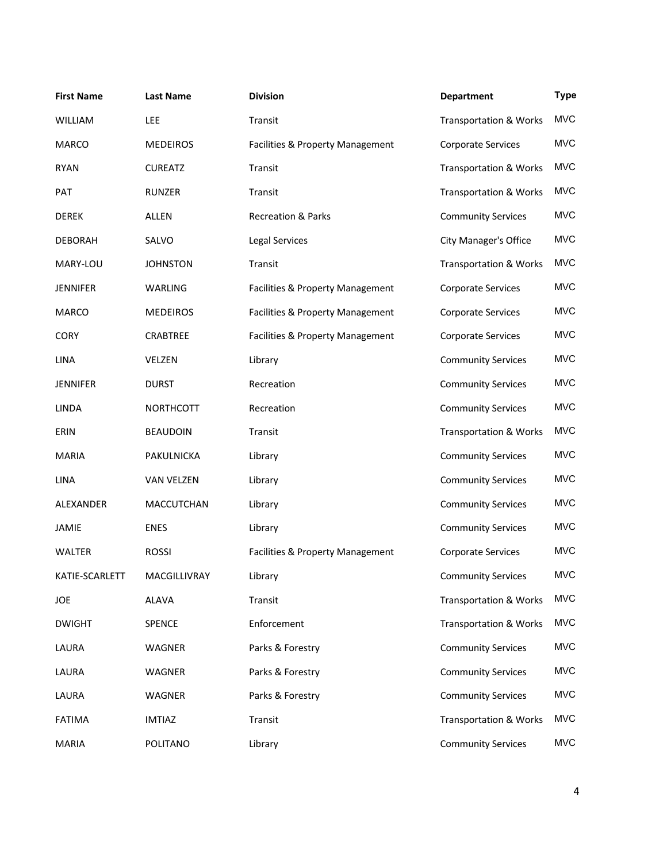| <b>First Name</b> | <b>Last Name</b> | <b>Division</b>                  | <b>Department</b>                 | <b>Type</b> |
|-------------------|------------------|----------------------------------|-----------------------------------|-------------|
| <b>WILLIAM</b>    | LEE              | Transit                          | <b>Transportation &amp; Works</b> | <b>MVC</b>  |
| <b>MARCO</b>      | <b>MEDEIROS</b>  | Facilities & Property Management | <b>Corporate Services</b>         | <b>MVC</b>  |
| <b>RYAN</b>       | <b>CUREATZ</b>   | Transit                          | <b>Transportation &amp; Works</b> | <b>MVC</b>  |
| <b>PAT</b>        | <b>RUNZER</b>    | Transit                          | <b>Transportation &amp; Works</b> | <b>MVC</b>  |
| <b>DEREK</b>      | ALLEN            | <b>Recreation &amp; Parks</b>    | <b>Community Services</b>         | <b>MVC</b>  |
| <b>DEBORAH</b>    | SALVO            | <b>Legal Services</b>            | <b>City Manager's Office</b>      | <b>MVC</b>  |
| MARY-LOU          | <b>JOHNSTON</b>  | Transit                          | <b>Transportation &amp; Works</b> | <b>MVC</b>  |
| <b>JENNIFER</b>   | WARLING          | Facilities & Property Management | Corporate Services                | <b>MVC</b>  |
| <b>MARCO</b>      | <b>MEDEIROS</b>  | Facilities & Property Management | Corporate Services                | <b>MVC</b>  |
| <b>CORY</b>       | <b>CRABTREE</b>  | Facilities & Property Management | Corporate Services                | <b>MVC</b>  |
| <b>LINA</b>       | VELZEN           | Library                          | <b>Community Services</b>         | <b>MVC</b>  |
| <b>JENNIFER</b>   | <b>DURST</b>     | Recreation                       | <b>Community Services</b>         | <b>MVC</b>  |
| <b>LINDA</b>      | <b>NORTHCOTT</b> | Recreation                       | <b>Community Services</b>         | <b>MVC</b>  |
| ERIN              | <b>BEAUDOIN</b>  | Transit                          | <b>Transportation &amp; Works</b> | <b>MVC</b>  |
| <b>MARIA</b>      | PAKULNICKA       | Library                          | <b>Community Services</b>         | <b>MVC</b>  |
| <b>LINA</b>       | VAN VELZEN       | Library                          | <b>Community Services</b>         | <b>MVC</b>  |
| ALEXANDER         | MACCUTCHAN       | Library                          | <b>Community Services</b>         | <b>MVC</b>  |
| <b>JAMIE</b>      | <b>ENES</b>      | Library                          | <b>Community Services</b>         | <b>MVC</b>  |
| <b>WALTER</b>     | <b>ROSSI</b>     | Facilities & Property Management | <b>Corporate Services</b>         | <b>MVC</b>  |
| KATIE-SCARLETT    | MACGILLIVRAY     | Library                          | <b>Community Services</b>         | <b>MVC</b>  |
| <b>JOE</b>        | <b>ALAVA</b>     | Transit                          | <b>Transportation &amp; Works</b> | <b>MVC</b>  |
| <b>DWIGHT</b>     | SPENCE           | Enforcement                      | <b>Transportation &amp; Works</b> | <b>MVC</b>  |
| LAURA             | WAGNER           | Parks & Forestry                 | <b>Community Services</b>         | <b>MVC</b>  |
| LAURA             | WAGNER           | Parks & Forestry                 | <b>Community Services</b>         | <b>MVC</b>  |
| LAURA             | WAGNER           | Parks & Forestry                 | <b>Community Services</b>         | <b>MVC</b>  |
| <b>FATIMA</b>     | <b>IMTIAZ</b>    | Transit                          | <b>Transportation &amp; Works</b> | <b>MVC</b>  |
| MARIA             | POLITANO         | Library                          | <b>Community Services</b>         | <b>MVC</b>  |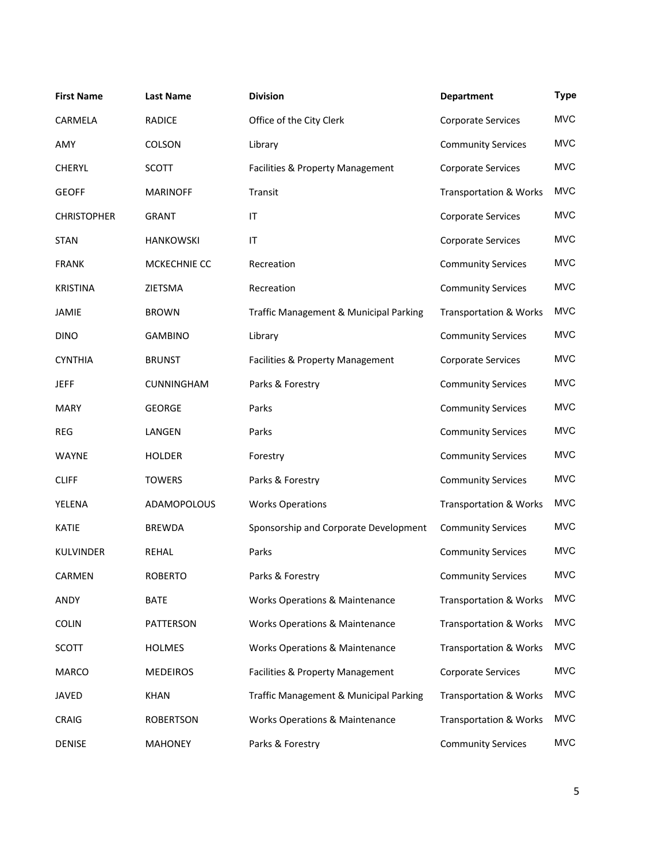| <b>First Name</b>  | <b>Last Name</b>  | <b>Division</b>                           | <b>Department</b>                 | <b>Type</b> |
|--------------------|-------------------|-------------------------------------------|-----------------------------------|-------------|
| CARMELA            | <b>RADICE</b>     | Office of the City Clerk                  | Corporate Services                | <b>MVC</b>  |
| AMY                | <b>COLSON</b>     | Library                                   | <b>Community Services</b>         | <b>MVC</b>  |
| <b>CHERYL</b>      | <b>SCOTT</b>      | Facilities & Property Management          | Corporate Services                | <b>MVC</b>  |
| <b>GEOFF</b>       | <b>MARINOFF</b>   | Transit                                   | <b>Transportation &amp; Works</b> | <b>MVC</b>  |
| <b>CHRISTOPHER</b> | <b>GRANT</b>      | $\mathsf{I}\mathsf{T}$                    | Corporate Services                | <b>MVC</b>  |
| <b>STAN</b>        | <b>HANKOWSKI</b>  | $\mathsf{I}\mathsf{T}$                    | Corporate Services                | <b>MVC</b>  |
| <b>FRANK</b>       | MCKECHNIE CC      | Recreation                                | <b>Community Services</b>         | <b>MVC</b>  |
| <b>KRISTINA</b>    | ZIETSMA           | Recreation                                | <b>Community Services</b>         | <b>MVC</b>  |
| <b>JAMIE</b>       | <b>BROWN</b>      | Traffic Management & Municipal Parking    | <b>Transportation &amp; Works</b> | <b>MVC</b>  |
| <b>DINO</b>        | <b>GAMBINO</b>    | Library                                   | <b>Community Services</b>         | <b>MVC</b>  |
| <b>CYNTHIA</b>     | <b>BRUNST</b>     | Facilities & Property Management          | Corporate Services                | <b>MVC</b>  |
| <b>JEFF</b>        | <b>CUNNINGHAM</b> | Parks & Forestry                          | <b>Community Services</b>         | <b>MVC</b>  |
| <b>MARY</b>        | <b>GEORGE</b>     | Parks                                     | <b>Community Services</b>         | <b>MVC</b>  |
| <b>REG</b>         | LANGEN            | Parks                                     | <b>Community Services</b>         | <b>MVC</b>  |
| <b>WAYNE</b>       | <b>HOLDER</b>     | Forestry                                  | <b>Community Services</b>         | <b>MVC</b>  |
| <b>CLIFF</b>       | <b>TOWERS</b>     | Parks & Forestry                          | <b>Community Services</b>         | <b>MVC</b>  |
| YELENA             | ADAMOPOLOUS       | <b>Works Operations</b>                   | <b>Transportation &amp; Works</b> | <b>MVC</b>  |
| KATIE              | <b>BREWDA</b>     | Sponsorship and Corporate Development     | <b>Community Services</b>         | <b>MVC</b>  |
| <b>KULVINDER</b>   | <b>REHAL</b>      | Parks                                     | <b>Community Services</b>         | <b>MVC</b>  |
| CARMEN             | <b>ROBERTO</b>    | Parks & Forestry                          | <b>Community Services</b>         | <b>MVC</b>  |
| ANDY               | <b>BATE</b>       | <b>Works Operations &amp; Maintenance</b> | <b>Transportation &amp; Works</b> | <b>MVC</b>  |
| <b>COLIN</b>       | PATTERSON         | <b>Works Operations &amp; Maintenance</b> | <b>Transportation &amp; Works</b> | <b>MVC</b>  |
| SCOTT              | <b>HOLMES</b>     | <b>Works Operations &amp; Maintenance</b> | <b>Transportation &amp; Works</b> | <b>MVC</b>  |
| <b>MARCO</b>       | <b>MEDEIROS</b>   | Facilities & Property Management          | Corporate Services                | <b>MVC</b>  |
| JAVED              | <b>KHAN</b>       | Traffic Management & Municipal Parking    | <b>Transportation &amp; Works</b> | <b>MVC</b>  |
| CRAIG              | <b>ROBERTSON</b>  | <b>Works Operations &amp; Maintenance</b> | <b>Transportation &amp; Works</b> | <b>MVC</b>  |
| DENISE             | <b>MAHONEY</b>    | Parks & Forestry                          | <b>Community Services</b>         | <b>MVC</b>  |